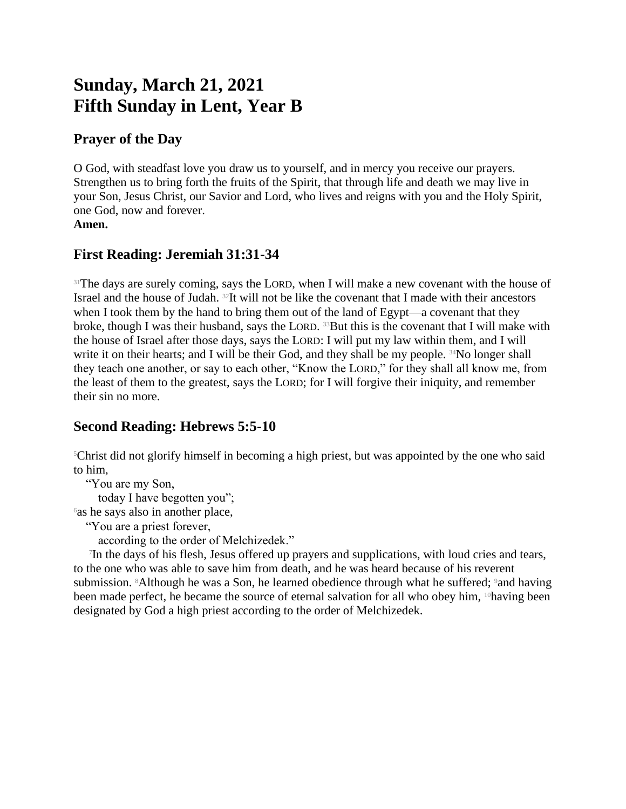# **Sunday, March 21, 2021 Fifth Sunday in Lent, Year B**

#### **Prayer of the Day**

O God, with steadfast love you draw us to yourself, and in mercy you receive our prayers. Strengthen us to bring forth the fruits of the Spirit, that through life and death we may live in your Son, Jesus Christ, our Savior and Lord, who lives and reigns with you and the Holy Spirit, one God, now and forever. **Amen.**

## **First Reading: Jeremiah 31:31-34**

<sup>31</sup>The days are surely coming, says the LORD, when I will make a new covenant with the house of Israel and the house of Judah. 32It will not be like the covenant that I made with their ancestors when I took them by the hand to bring them out of the land of Egypt—a covenant that they broke, though I was their husband, says the LORD. <sup>33</sup>But this is the covenant that I will make with the house of Israel after those days, says the LORD: I will put my law within them, and I will write it on their hearts; and I will be their God, and they shall be my people. <sup>34</sup>No longer shall they teach one another, or say to each other, "Know the LORD," for they shall all know me, from the least of them to the greatest, says the LORD; for I will forgive their iniquity, and remember their sin no more.

## **Second Reading: Hebrews 5:5-10**

<sup>5</sup>Christ did not glorify himself in becoming a high priest, but was appointed by the one who said to him,

"You are my Son,

today I have begotten you";

 $\delta$ as he says also in another place,

"You are a priest forever,

according to the order of Melchizedek."

7 In the days of his flesh, Jesus offered up prayers and supplications, with loud cries and tears, to the one who was able to save him from death, and he was heard because of his reverent submission. <sup>8</sup>Although he was a Son, he learned obedience through what he suffered; <sup>9</sup>and having been made perfect, he became the source of eternal salvation for all who obey him, <sup>10</sup>having been designated by God a high priest according to the order of Melchizedek.